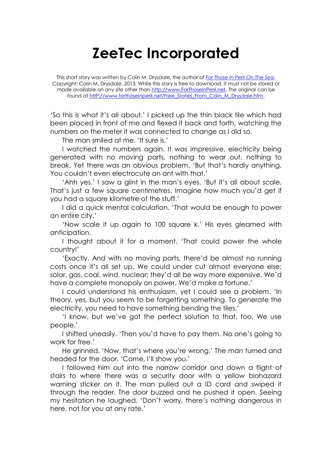## **ZeeTec Incorporated**

This short story was written by Colin M. Drysdale, the author of *[For Those In Peril On The Sea](http://www.forthoseinperil.net/)*. Copyright: Colin M. Drysdale, 2013. While this story is free to download, it must not be stored or made available on any site other than [http://www.ForThoseInPeril.net.](http://www.forthoseinperil.net/) The original can be found at http://www.forthoseinperil.net/Free\_Stories\_From\_Colin\_M\_Drysdale.htm.

'So this is what it's all about.' I picked up the thin black tile which had been placed in front of me and flexed it back and forth, watching the numbers on the meter it was connected to change as I did so.

The man smiled at me. 'It sure is.'

I watched the numbers again. It was impressive, electricity being generated with no moving parts, nothing to wear out, nothing to break. Yet there was an obvious problem. 'But that's hardly anything. You couldn't even electrocute an ant with that.'

'Ahh yes.' I saw a glint in the man's eyes. 'But it's all about scale. That's just a few square centimetres. Imagine how much you'd get if you had a square kilometre of the stuff.'

I did a quick mental calculation. 'That would be enough to power an entire city.'

'Now scale it up again to 100 square k.' His eyes gleamed with anticipation.

I thought about it for a moment. 'That could power the whole country!'

'Exactly. And with no moving parts, there'd be almost no running costs once it's all set up. We could under cut almost everyone else: solar, gas, coal, wind, nuclear; they'd all be way more expensive. We'd have a complete monopoly on power. We'd make a fortune.'

I could understand his enthusiasm, yet I could see a problem. 'In theory, yes, but you seem to be forgetting something. To generate the electricity, you need to have something bending the tiles.'

'I know, but we've got the perfect solution to that, too. We use people.'

I shifted uneasily. 'Then you'd have to pay them. No one's going to work for free.'

He grinned. 'Now, that's where you're wrong.' The man turned and headed for the door. 'Come, I'll show you.'

I followed him out into the narrow corridor and down a flight of stairs to where there was a security door with a yellow biohazard warning sticker on it. The man pulled out a ID card and swiped it through the reader. The door buzzed and he pushed it open. Seeing my hesitation he laughed. 'Don't worry, there's nothing dangerous in here, not for you at any rate.'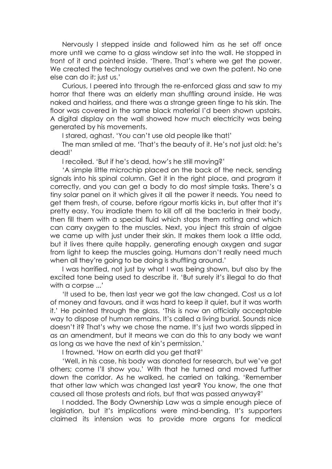Nervously I stepped inside and followed him as he set off once more until we came to a glass window set into the wall. He stopped in front of it and pointed inside. 'There. That's where we get the power. We created the technology ourselves and we own the patent. No one else can do it; just us.'

Curious, I peered into through the re-enforced glass and saw to my horror that there was an elderly man shuffling around inside. He was naked and hairless, and there was a strange green tinge to his skin. The floor was covered in the same black material I'd been shown upstairs. A digital display on the wall showed how much electricity was being generated by his movements.

I stared, aghast. 'You can't use old people like that!'

The man smiled at me. 'That's the beauty of it. He's not just old: he's dead!'

I recoiled. 'But if he's dead, how's he still moving?'

'A simple little microchip placed on the back of the neck, sending signals into his spinal column. Get it in the right place, and program it correctly, and you can get a body to do most simple tasks. There's a tiny solar panel on it which gives it all the power it needs. You need to get them fresh, of course, before rigour mortis kicks in, but after that it's pretty easy. You irradiate them to kill off all the bacteria in their body, then fill them with a special fluid which stops them rotting and which can carry oxygen to the muscles. Next, you inject this strain of algae we came up with just under their skin. It makes them look a little odd, but it lives there quite happily, generating enough oxygen and sugar from light to keep the muscles going. Humans don't really need much when all they're going to be doing is shuffling around.'

I was horrified, not just by what I was being shown, but also by the excited tone being used to describe it. 'But surely it's illegal to do that with a corpse ...'

'It used to be, then last year we got the law changed. Cost us a lot of money and favours, and it was hard to keep it quiet, but it was worth it.' He pointed through the glass. 'This is now an officially acceptable way to dispose of human remains. It's called a living burial. Sounds nice doesn't it? That's why we chose the name. It's just two words slipped in as an amendment, but it means we can do this to any body we want as long as we have the next of kin's permission.'

I frowned. 'How on earth did you get that?'

'Well, in his case, his body was donated for research, but we've got others; come I'll show you.' With that he turned and moved further down the corridor. As he walked, he carried on talking. 'Remember that other law which was changed last year? You know, the one that caused all those protests and riots, but that was passed anyway?'

I nodded. The Body Ownership Law was a simple enough piece of legislation, but it's implications were mind-bending. It's supporters claimed its intension was to provide more organs for medical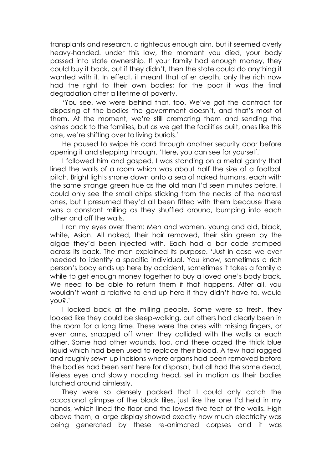transplants and research, a righteous enough aim, but it seemed overly heavy-handed. under this law, the moment you died, your body passed into state ownership. If your family had enough money, they could buy it back, but if they didn't, then the state could do anything it wanted with it. In effect, it meant that after death, only the rich now had the right to their own bodies; for the poor it was the final degradation after a lifetime of poverty.

'You see, we were behind that, too. We've got the contract for disposing of the bodies the government doesn't, and that's most of them. At the moment, we're still cremating them and sending the ashes back to the families, but as we get the facilities built, ones like this one, we're shifting over to living burials.'

He paused to swipe his card through another security door before opening it and stepping through. 'Here, you can see for yourself.'

I followed him and gasped. I was standing on a metal gantry that lined the walls of a room which was about half the size of a football pitch. Bright lights shone down onto a sea of naked humans, each with the same strange green hue as the old man I'd seen minutes before. I could only see the small chips sticking from the necks of the nearest ones, but I presumed they'd all been fitted with them because there was a constant milling as they shuffled around, bumping into each other and off the walls.

I ran my eyes over them: Men and women, young and old, black, white, Asian. All naked, their hair removed, their skin green by the algae they'd been injected with. Each had a bar code stamped across its back. The man explained its purpose. 'Just in case we ever needed to identify a specific individual. You know, sometimes a rich person's body ends up here by accident, sometimes it takes a family a while to get enough money together to buy a loved one's body back. We need to be able to return them if that happens. After all, you wouldn't want a relative to end up here if they didn't have to, would you?.'

I looked back at the milling people. Some were so fresh, they looked like they could be sleep-walking, but others had clearly been in the room for a long time. These were the ones with missing fingers, or even arms, snapped off when they collided with the walls or each other. Some had other wounds, too, and these oozed the thick blue liquid which had been used to replace their blood. A few had ragged and roughly sewn up incisions where organs had been removed before the bodies had been sent here for disposal, but all had the same dead, lifeless eyes and slowly nodding head, set in motion as their bodies lurched around aimlessly.

They were so densely packed that I could only catch the occasional glimpse of the black tiles, just like the one I'd held in my hands, which lined the floor and the lowest five feet of the walls. High above them, a large display showed exactly how much electricity was being generated by these re-animated corpses and it was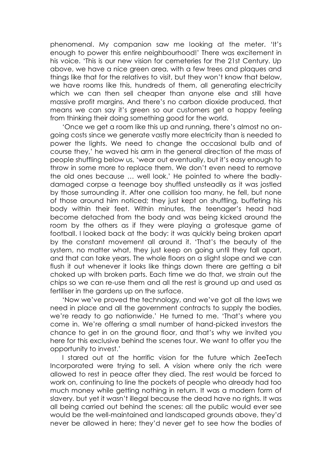phenomenal. My companion saw me looking at the meter. 'It's enough to power this entire neighbourhood!' There was excitement in his voice. 'This is our new vision for cemeteries for the 21st Century. Up above, we have a nice green area, with a few trees and plaques and things like that for the relatives to visit, but they won't know that below, we have rooms like this, hundreds of them, all generating electricity which we can then sell cheaper than anyone else and still have massive profit margins. And there's no carbon dioxide produced, that means we can say it's green so our customers get a happy feeling from thinking their doing something good for the world.

'Once we get a room like this up and running, there's almost no ongoing costs since we generate vastly more electricity than is needed to power the lights. We need to change the occasional bulb and of course they,' he waved his arm in the general direction of the mass of people shuffling below us, 'wear out eventually, but it's easy enough to throw in some more to replace them. We don't even need to remove the old ones because … well look.' He pointed to where the badlydamaged corpse a teenage boy shuffled unsteadily as it was jostled by those surrounding it. After one collision too many, he fell, but none of those around him noticed; they just kept on shuffling, buffeting his body within their feet. Within minutes, the teenager's head had become detached from the body and was being kicked around the room by the others as if they were playing a grotesque game of football. I looked back at the body: it was quickly being broken apart by the constant movement all around it. 'That's the beauty of the system, no matter what, they just keep on going until they fall apart, and that can take years. The whole floors on a slight slope and we can flush it out whenever it looks like things down there are getting a bit choked up with broken parts. Each time we do that, we strain out the chips so we can re-use them and all the rest is ground up and used as fertiliser in the gardens up on the surface.

'Now we've proved the technology, and we've got all the laws we need in place and all the government contracts to supply the bodies, we're ready to go nationwide.' He turned to me. 'That's where you come in. We're offering a small number of hand-picked investors the chance to get in on the ground floor, and that's why we invited you here for this exclusive behind the scenes tour. We want to offer you the opportunity to invest.'

I stared out at the horrific vision for the future which ZeeTech Incorporated were trying to sell. A vision where only the rich were allowed to rest in peace after they died. The rest would be forced to work on, continuing to line the pockets of people who already had too much money while getting nothing in return. It was a modern form of slavery. but yet it wasn't illegal because the dead have no rights. It was all being carried out behind the scenes: all the public would ever see would be the well-maintained and landscaped grounds above, they'd never be allowed in here; they'd never get to see how the bodies of